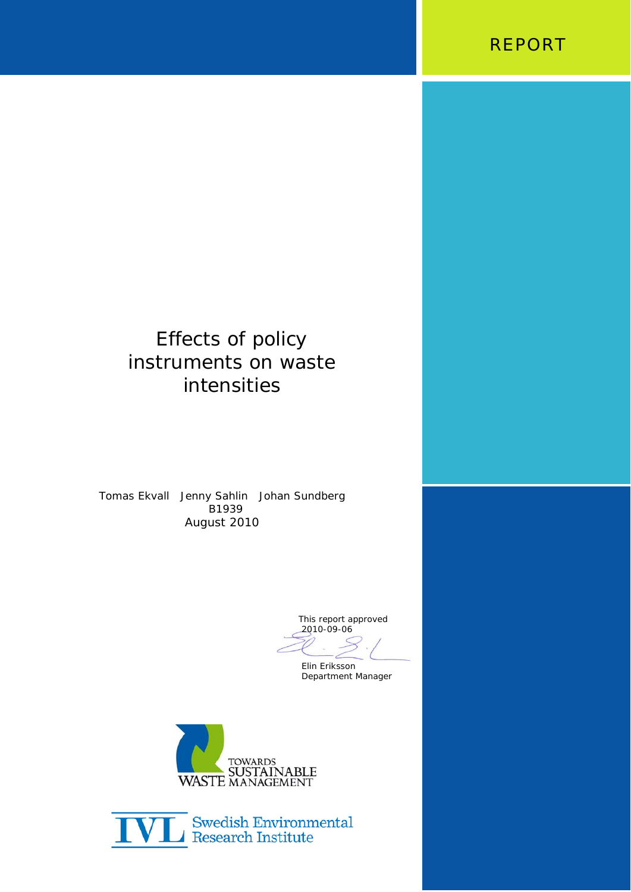REPORT

# Effects of policy instruments on waste intensities

Tomas Ekvall Jenny Sahlin Johan Sundberg B1939 August 2010

> This report approved 2010-09-06

> > Elin Eriksson Department Manager



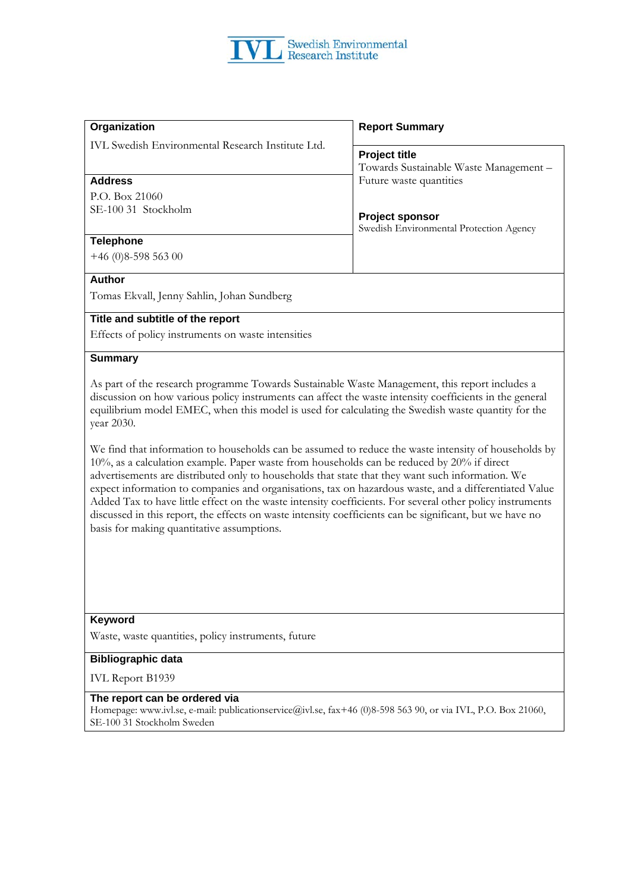#### **Organization Report Summary Report Summary**

IVL Swedish Environmental Research Institute Ltd.

P.O. Box 21060 SE-100 31 Stockholm **Project sponsor** 

# **Telephone**

+46 (0)8-598 563 00

#### **Author**

Tomas Ekvall, Jenny Sahlin, Johan Sundberg

### **Title and subtitle of the report**

Effects of policy instruments on waste intensities

### **Summary**

As part of the research programme Towards Sustainable Waste Management, this report includes a discussion on how various policy instruments can affect the waste intensity coefficients in the general equilibrium model EMEC, when this model is used for calculating the Swedish waste quantity for the year 2030.

We find that information to households can be assumed to reduce the waste intensity of households by 10%, as a calculation example. Paper waste from households can be reduced by 20% if direct advertisements are distributed only to households that state that they want such information. We expect information to companies and organisations, tax on hazardous waste, and a differentiated Value Added Tax to have little effect on the waste intensity coefficients. For several other policy instruments discussed in this report, the effects on waste intensity coefficients can be significant, but we have no basis for making quantitative assumptions.

### **Keyword**

Waste, waste quantities, policy instruments, future

### **Bibliographic data**

IVL Report B1939

#### **The report can be ordered via**

Homepage: www.ivl.se, e-mail: publicationservice@ivl.se, fax+46 (0)8-598 563 90, or via IVL, P.O. Box 21060, SE-100 31 Stockholm Sweden

**Project title**  Towards Sustainable Waste Management – **Address** Future waste quantities

Swedish Environmental Protection Agency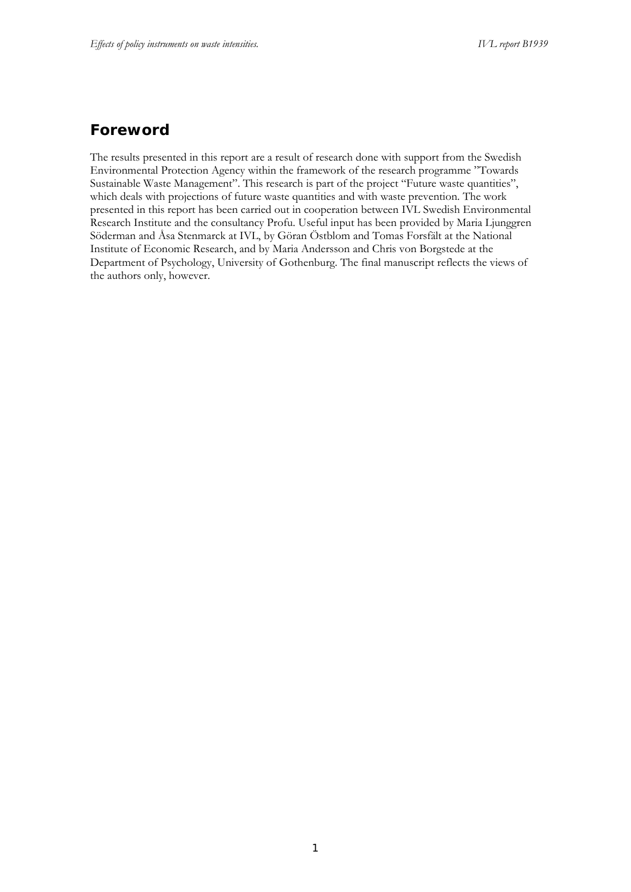# **Foreword**

The results presented in this report are a result of research done with support from the Swedish Environmental Protection Agency within the framework of the research programme "Towards Sustainable Waste Management". This research is part of the project "Future waste quantities", which deals with projections of future waste quantities and with waste prevention. The work presented in this report has been carried out in cooperation between IVL Swedish Environmental Research Institute and the consultancy Profu. Useful input has been provided by Maria Ljunggren Söderman and Åsa Stenmarck at IVL, by Göran Östblom and Tomas Forsfält at the National Institute of Economic Research, and by Maria Andersson and Chris von Borgstede at the Department of Psychology, University of Gothenburg. The final manuscript reflects the views of the authors only, however.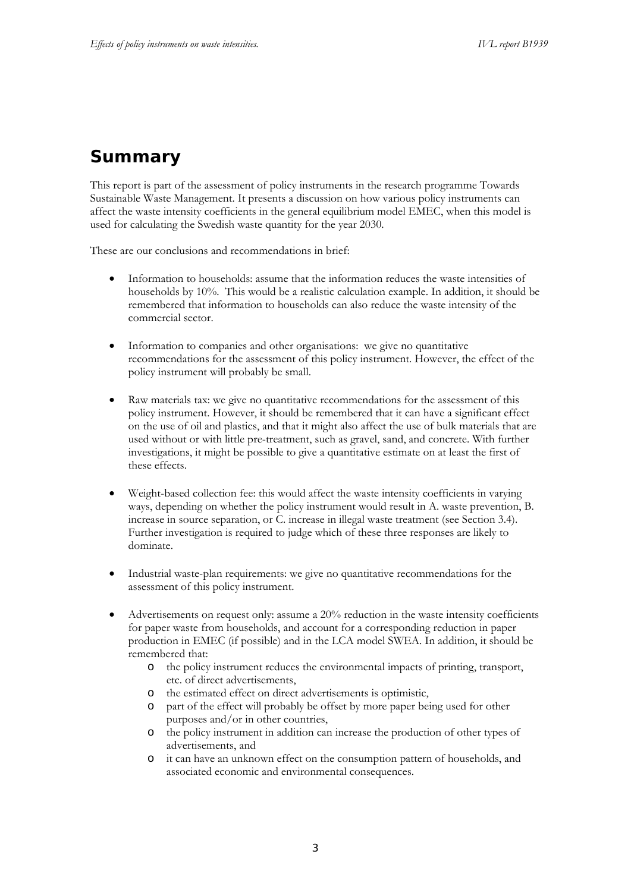# **Summary**

This report is part of the assessment of policy instruments in the research programme Towards Sustainable Waste Management. It presents a discussion on how various policy instruments can affect the waste intensity coefficients in the general equilibrium model EMEC, when this model is used for calculating the Swedish waste quantity for the year 2030.

These are our conclusions and recommendations in brief:

- Information to households: assume that the information reduces the waste intensities of households by 10%. This would be a realistic calculation example. In addition, it should be remembered that information to households can also reduce the waste intensity of the commercial sector.
- Information to companies and other organisations: we give no quantitative recommendations for the assessment of this policy instrument. However, the effect of the policy instrument will probably be small.
- Raw materials tax: we give no quantitative recommendations for the assessment of this policy instrument. However, it should be remembered that it can have a significant effect on the use of oil and plastics, and that it might also affect the use of bulk materials that are used without or with little pre-treatment, such as gravel, sand, and concrete. With further investigations, it might be possible to give a quantitative estimate on at least the first of these effects.
- Weight-based collection fee: this would affect the waste intensity coefficients in varying ways, depending on whether the policy instrument would result in A. waste prevention, B. increase in source separation, or C. increase in illegal waste treatment (see Section 3.4). Further investigation is required to judge which of these three responses are likely to dominate.
- Industrial waste-plan requirements: we give no quantitative recommendations for the assessment of this policy instrument.
- Advertisements on request only: assume a 20% reduction in the waste intensity coefficients for paper waste from households, and account for a corresponding reduction in paper production in EMEC (if possible) and in the LCA model SWEA. In addition, it should be remembered that:
	- o the policy instrument reduces the environmental impacts of printing, transport, etc. of direct advertisements,
	- o the estimated effect on direct advertisements is optimistic,
	- o part of the effect will probably be offset by more paper being used for other purposes and/or in other countries,
	- o the policy instrument in addition can increase the production of other types of advertisements, and
	- o it can have an unknown effect on the consumption pattern of households, and associated economic and environmental consequences.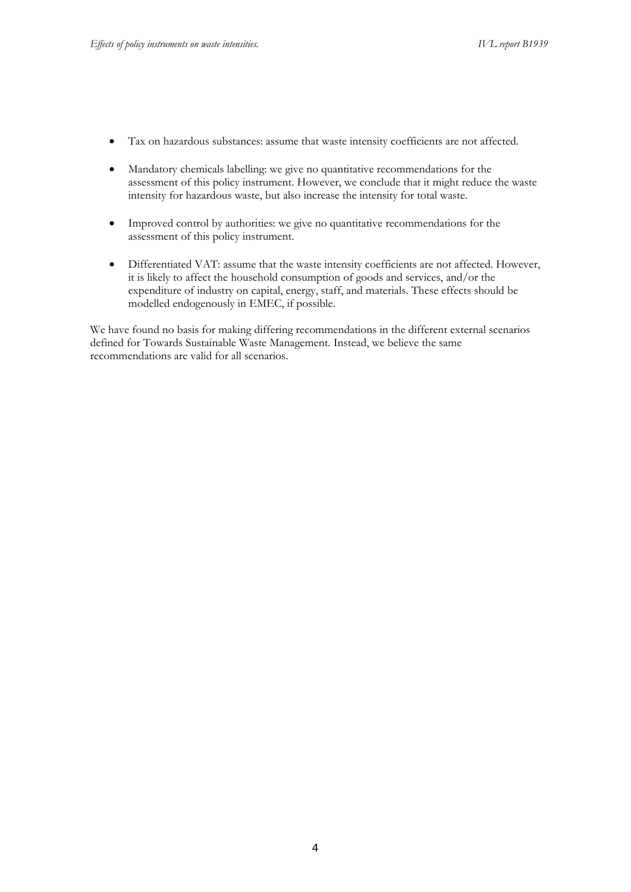- Tax on hazardous substances: assume that waste intensity coefficients are not affected.
- Mandatory chemicals labelling: we give no quantitative recommendations for the assessment of this policy instrument. However, we conclude that it might reduce the waste intensity for hazardous waste, but also increase the intensity for total waste.
- Improved control by authorities: we give no quantitative recommendations for the assessment of this policy instrument.
- Differentiated VAT: assume that the waste intensity coefficients are not affected. However, it is likely to affect the household consumption of goods and services, and/or the expenditure of industry on capital, energy, staff, and materials. These effects should be modelled endogenously in EMEC, if possible.

We have found no basis for making differing recommendations in the different external scenarios defined for Towards Sustainable Waste Management. Instead, we believe the same recommendations are valid for all scenarios.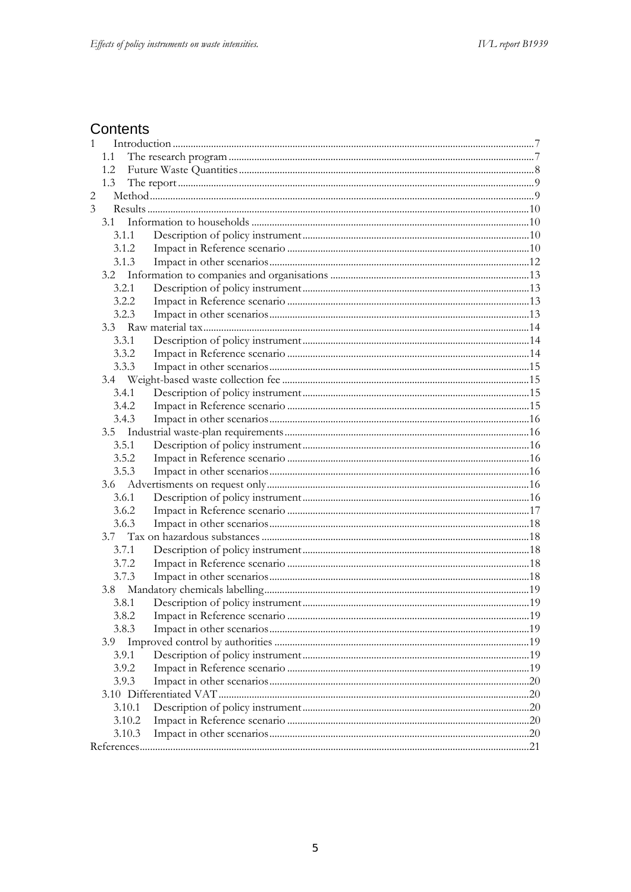# Contents

| $\mathbf{1}$ |        |  |  |
|--------------|--------|--|--|
|              | 1.1    |  |  |
|              | 1.2    |  |  |
|              | 1.3    |  |  |
| $\mathbf{2}$ |        |  |  |
| 3            |        |  |  |
|              |        |  |  |
|              | 3.1.1  |  |  |
|              | 3.1.2  |  |  |
|              | 3.1.3  |  |  |
|              |        |  |  |
|              | 3.2.1  |  |  |
|              | 3.2.2  |  |  |
|              | 3.2.3  |  |  |
|              |        |  |  |
|              | 3.3.1  |  |  |
|              | 3.3.2  |  |  |
|              | 3.3.3  |  |  |
|              |        |  |  |
|              | 3.4.1  |  |  |
|              | 3.4.2  |  |  |
|              | 3.4.3  |  |  |
|              |        |  |  |
|              | 3.5.1  |  |  |
|              | 3.5.2  |  |  |
|              | 3.5.3  |  |  |
|              |        |  |  |
|              | 3.6.1  |  |  |
|              | 3.6.2  |  |  |
|              | 3.6.3  |  |  |
|              |        |  |  |
|              | 3.7.1  |  |  |
|              | 3.7.2  |  |  |
|              | 3.7.3  |  |  |
|              |        |  |  |
|              | 3.8.1  |  |  |
|              |        |  |  |
|              | 3.8.3  |  |  |
|              | 3.9    |  |  |
|              | 3.9.1  |  |  |
|              | 3.9.2  |  |  |
|              | 3.9.3  |  |  |
|              |        |  |  |
|              | 3.10.1 |  |  |
|              | 3.10.2 |  |  |
|              | 3.10.3 |  |  |
|              |        |  |  |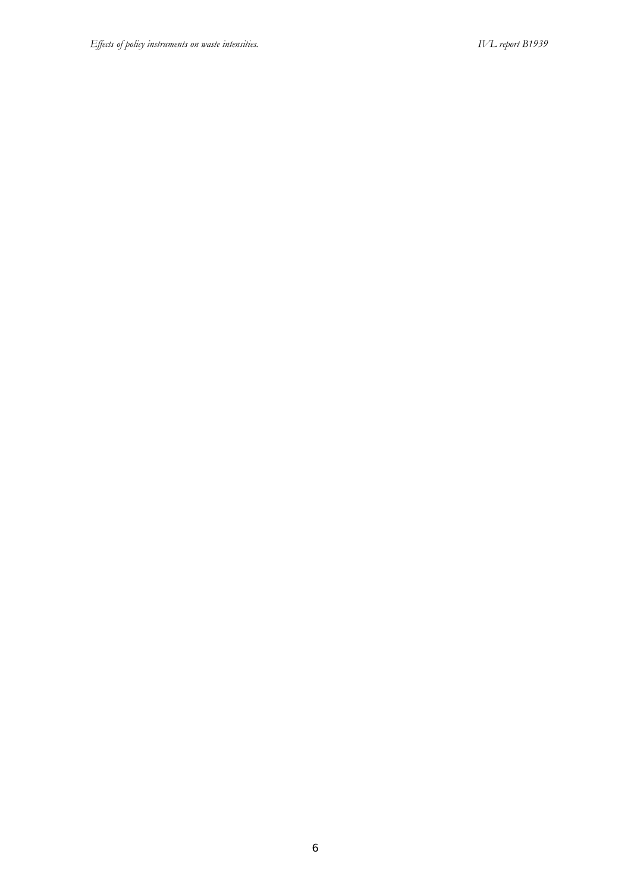6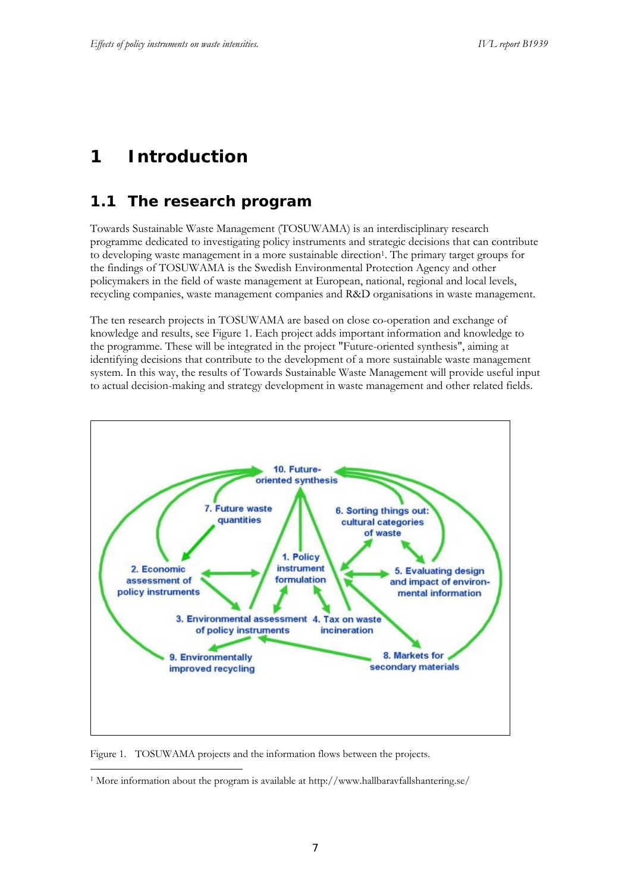# **1 Introduction**

# **1.1 The research program**

Towards Sustainable Waste Management (TOSUWAMA) is an interdisciplinary research programme dedicated to investigating policy instruments and strategic decisions that can contribute to developing waste management in a more sustainable direction<sup>1</sup>. The primary target groups for the findings of TOSUWAMA is the Swedish Environmental Protection Agency and other policymakers in the field of waste management at European, national, regional and local levels, recycling companies, waste management companies and R&D organisations in waste management.

The ten research projects in TOSUWAMA are based on close co-operation and exchange of knowledge and results, see Figure 1. Each project adds important information and knowledge to the programme. These will be integrated in the project "Future-oriented synthesis", aiming at identifying decisions that contribute to the development of a more sustainable waste management system. In this way, the results of Towards Sustainable Waste Management will provide useful input to actual decision-making and strategy development in waste management and other related fields.



Figure 1. TOSUWAMA projects and the information flows between the projects.

<u>.</u>

<sup>1</sup> More information about the program is available at http://www.hallbaravfallshantering.se/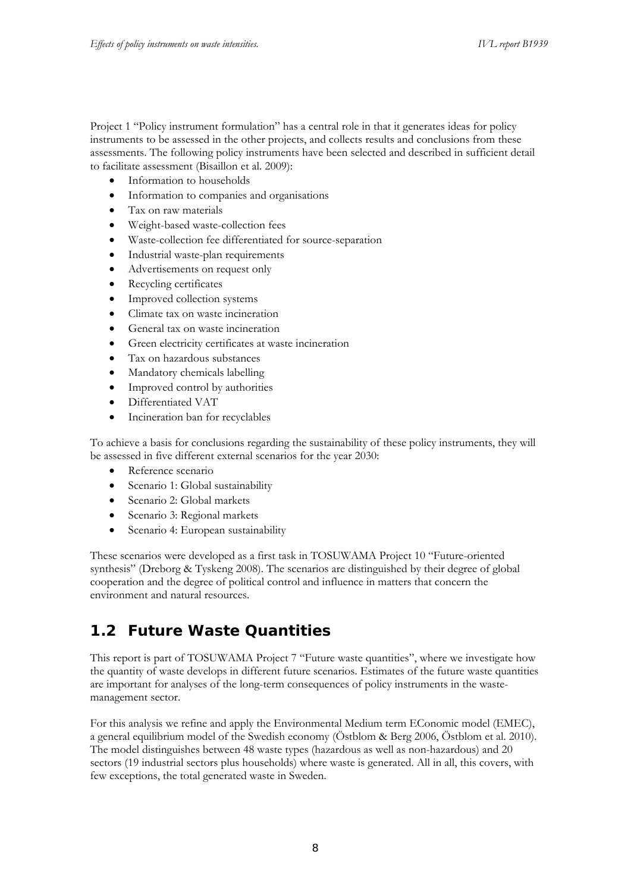Project 1 "Policy instrument formulation" has a central role in that it generates ideas for policy instruments to be assessed in the other projects, and collects results and conclusions from these assessments. The following policy instruments have been selected and described in sufficient detail to facilitate assessment (Bisaillon et al. 2009):

- Information to households
- Information to companies and organisations
- Tax on raw materials
- Weight-based waste-collection fees
- Waste-collection fee differentiated for source-separation
- Industrial waste-plan requirements
- Advertisements on request only
- Recycling certificates
- Improved collection systems
- Climate tax on waste incineration
- General tax on waste incineration
- Green electricity certificates at waste incineration
- Tax on hazardous substances
- Mandatory chemicals labelling
- Improved control by authorities
- Differentiated VAT
- Incineration ban for recyclables

To achieve a basis for conclusions regarding the sustainability of these policy instruments, they will be assessed in five different external scenarios for the year 2030:

- Reference scenario
- Scenario 1: Global sustainability
- Scenario 2: Global markets
- Scenario 3: Regional markets
- Scenario 4: European sustainability

These scenarios were developed as a first task in TOSUWAMA Project 10 "Future-oriented synthesis" (Dreborg & Tyskeng 2008). The scenarios are distinguished by their degree of global cooperation and the degree of political control and influence in matters that concern the environment and natural resources.

# **1.2 Future Waste Quantities**

This report is part of TOSUWAMA Project 7 "Future waste quantities", where we investigate how the quantity of waste develops in different future scenarios. Estimates of the future waste quantities are important for analyses of the long-term consequences of policy instruments in the wastemanagement sector.

For this analysis we refine and apply the Environmental Medium term EConomic model (EMEC), a general equilibrium model of the Swedish economy (Östblom & Berg 2006, Östblom et al. 2010). The model distinguishes between 48 waste types (hazardous as well as non-hazardous) and 20 sectors (19 industrial sectors plus households) where waste is generated. All in all, this covers, with few exceptions, the total generated waste in Sweden.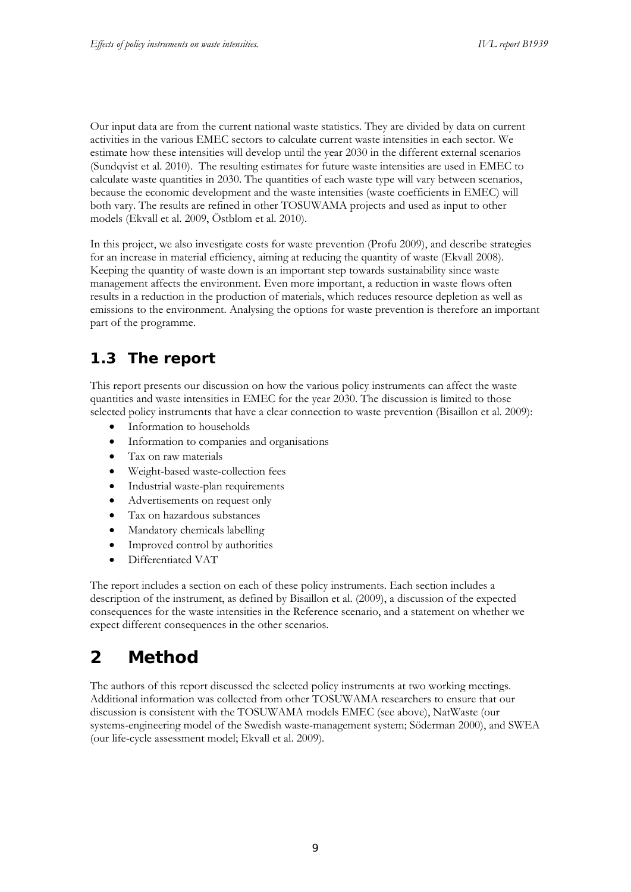Our input data are from the current national waste statistics. They are divided by data on current activities in the various EMEC sectors to calculate current waste intensities in each sector. We estimate how these intensities will develop until the year 2030 in the different external scenarios (Sundqvist et al. 2010). The resulting estimates for future waste intensities are used in EMEC to calculate waste quantities in 2030. The quantities of each waste type will vary between scenarios, because the economic development and the waste intensities (waste coefficients in EMEC) will both vary. The results are refined in other TOSUWAMA projects and used as input to other models (Ekvall et al. 2009, Östblom et al. 2010).

In this project, we also investigate costs for waste prevention (Profu 2009), and describe strategies for an increase in material efficiency, aiming at reducing the quantity of waste (Ekvall 2008). Keeping the quantity of waste down is an important step towards sustainability since waste management affects the environment. Even more important, a reduction in waste flows often results in a reduction in the production of materials, which reduces resource depletion as well as emissions to the environment. Analysing the options for waste prevention is therefore an important part of the programme.

# **1.3 The report**

This report presents our discussion on how the various policy instruments can affect the waste quantities and waste intensities in EMEC for the year 2030. The discussion is limited to those selected policy instruments that have a clear connection to waste prevention (Bisaillon et al. 2009):

- Information to households
- Information to companies and organisations
- Tax on raw materials
- Weight-based waste-collection fees
- Industrial waste-plan requirements
- Advertisements on request only
- Tax on hazardous substances
- Mandatory chemicals labelling
- Improved control by authorities
- Differentiated VAT

The report includes a section on each of these policy instruments. Each section includes a description of the instrument, as defined by Bisaillon et al. (2009), a discussion of the expected consequences for the waste intensities in the Reference scenario, and a statement on whether we expect different consequences in the other scenarios.

# **2 Method**

The authors of this report discussed the selected policy instruments at two working meetings. Additional information was collected from other TOSUWAMA researchers to ensure that our discussion is consistent with the TOSUWAMA models EMEC (see above), NatWaste (our systems-engineering model of the Swedish waste-management system; Söderman 2000), and SWEA (our life-cycle assessment model; Ekvall et al. 2009).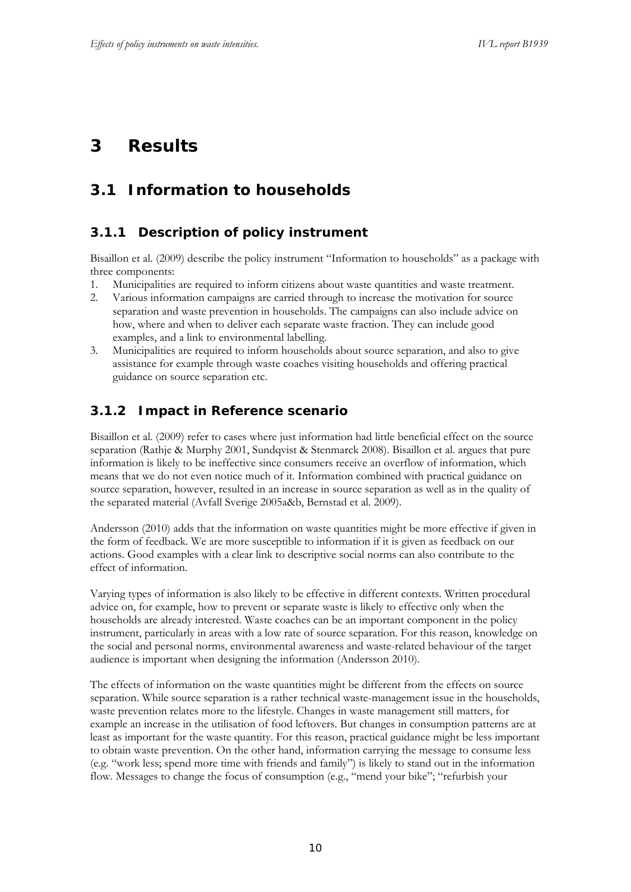# **3 Results**

# **3.1 Information to households**

# **3.1.1 Description of policy instrument**

Bisaillon et al. (2009) describe the policy instrument "Information to households" as a package with three components:

- 1. Municipalities are required to inform citizens about waste quantities and waste treatment.
- 2. Various information campaigns are carried through to increase the motivation for source separation and waste prevention in households. The campaigns can also include advice on how, where and when to deliver each separate waste fraction. They can include good examples, and a link to environmental labelling.
- 3. Municipalities are required to inform households about source separation, and also to give assistance for example through waste coaches visiting households and offering practical guidance on source separation etc.

# **3.1.2 Impact in Reference scenario**

Bisaillon et al. (2009) refer to cases where just information had little beneficial effect on the source separation (Rathje & Murphy 2001, Sundqvist & Stenmarck 2008). Bisaillon et al. argues that pure information is likely to be ineffective since consumers receive an overflow of information, which means that we do not even notice much of it. Information combined with practical guidance on source separation, however, resulted in an increase in source separation as well as in the quality of the separated material (Avfall Sverige 2005a&b, Bernstad et al. 2009).

Andersson (2010) adds that the information on waste quantities might be more effective if given in the form of feedback. We are more susceptible to information if it is given as feedback on our actions. Good examples with a clear link to descriptive social norms can also contribute to the effect of information.

Varying types of information is also likely to be effective in different contexts. Written procedural advice on, for example, how to prevent or separate waste is likely to effective only when the households are already interested. Waste coaches can be an important component in the policy instrument, particularly in areas with a low rate of source separation. For this reason, knowledge on the social and personal norms, environmental awareness and waste-related behaviour of the target audience is important when designing the information (Andersson 2010).

The effects of information on the waste quantities might be different from the effects on source separation. While source separation is a rather technical waste-management issue in the households, waste prevention relates more to the lifestyle. Changes in waste management still matters, for example an increase in the utilisation of food leftovers. But changes in consumption patterns are at least as important for the waste quantity. For this reason, practical guidance might be less important to obtain waste prevention. On the other hand, information carrying the message to consume less (e.g. "work less; spend more time with friends and family") is likely to stand out in the information flow. Messages to change the focus of consumption (e.g., "mend your bike"; "refurbish your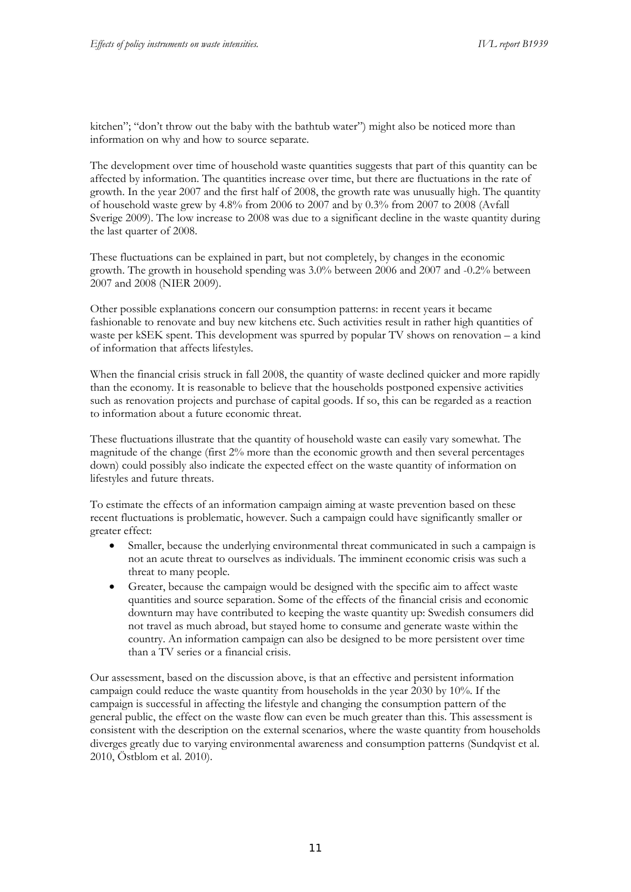kitchen"; "don't throw out the baby with the bathtub water") might also be noticed more than information on why and how to source separate.

The development over time of household waste quantities suggests that part of this quantity can be affected by information. The quantities increase over time, but there are fluctuations in the rate of growth. In the year 2007 and the first half of 2008, the growth rate was unusually high. The quantity of household waste grew by 4.8% from 2006 to 2007 and by 0.3% from 2007 to 2008 (Avfall Sverige 2009). The low increase to 2008 was due to a significant decline in the waste quantity during the last quarter of 2008.

These fluctuations can be explained in part, but not completely, by changes in the economic growth. The growth in household spending was 3.0% between 2006 and 2007 and -0.2% between 2007 and 2008 (NIER 2009).

Other possible explanations concern our consumption patterns: in recent years it became fashionable to renovate and buy new kitchens etc. Such activities result in rather high quantities of waste per kSEK spent. This development was spurred by popular TV shows on renovation – a kind of information that affects lifestyles.

When the financial crisis struck in fall 2008, the quantity of waste declined quicker and more rapidly than the economy. It is reasonable to believe that the households postponed expensive activities such as renovation projects and purchase of capital goods. If so, this can be regarded as a reaction to information about a future economic threat.

These fluctuations illustrate that the quantity of household waste can easily vary somewhat. The magnitude of the change (first 2% more than the economic growth and then several percentages down) could possibly also indicate the expected effect on the waste quantity of information on lifestyles and future threats.

To estimate the effects of an information campaign aiming at waste prevention based on these recent fluctuations is problematic, however. Such a campaign could have significantly smaller or greater effect:

- Smaller, because the underlying environmental threat communicated in such a campaign is not an acute threat to ourselves as individuals. The imminent economic crisis was such a threat to many people.
- Greater, because the campaign would be designed with the specific aim to affect waste quantities and source separation. Some of the effects of the financial crisis and economic downturn may have contributed to keeping the waste quantity up: Swedish consumers did not travel as much abroad, but stayed home to consume and generate waste within the country. An information campaign can also be designed to be more persistent over time than a TV series or a financial crisis.

Our assessment, based on the discussion above, is that an effective and persistent information campaign could reduce the waste quantity from households in the year 2030 by 10%. If the campaign is successful in affecting the lifestyle and changing the consumption pattern of the general public, the effect on the waste flow can even be much greater than this. This assessment is consistent with the description on the external scenarios, where the waste quantity from households diverges greatly due to varying environmental awareness and consumption patterns (Sundqvist et al. 2010, Östblom et al. 2010).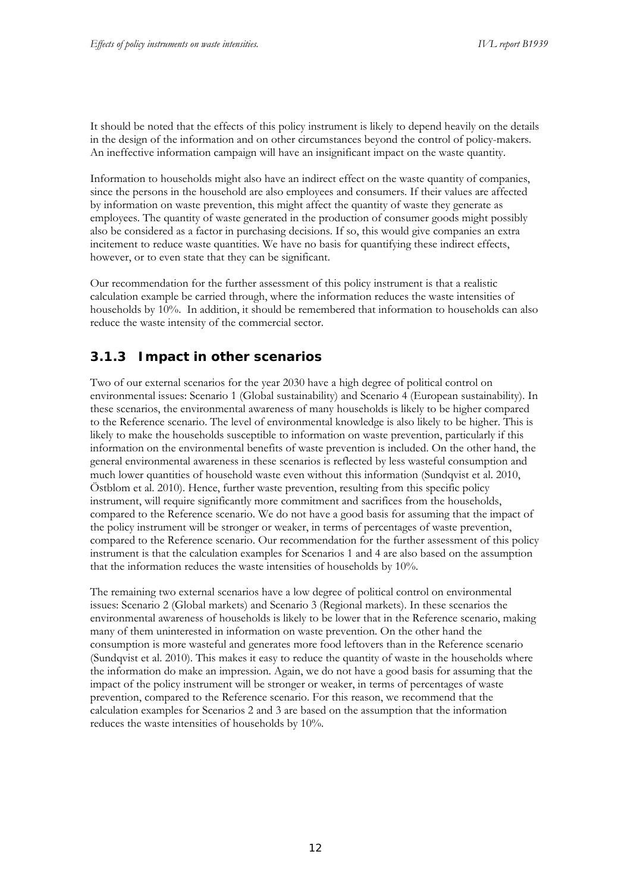It should be noted that the effects of this policy instrument is likely to depend heavily on the details in the design of the information and on other circumstances beyond the control of policy-makers. An ineffective information campaign will have an insignificant impact on the waste quantity.

Information to households might also have an indirect effect on the waste quantity of companies, since the persons in the household are also employees and consumers. If their values are affected by information on waste prevention, this might affect the quantity of waste they generate as employees. The quantity of waste generated in the production of consumer goods might possibly also be considered as a factor in purchasing decisions. If so, this would give companies an extra incitement to reduce waste quantities. We have no basis for quantifying these indirect effects, however, or to even state that they can be significant.

Our recommendation for the further assessment of this policy instrument is that a realistic calculation example be carried through, where the information reduces the waste intensities of households by 10%. In addition, it should be remembered that information to households can also reduce the waste intensity of the commercial sector.

## **3.1.3 Impact in other scenarios**

Two of our external scenarios for the year 2030 have a high degree of political control on environmental issues: Scenario 1 (Global sustainability) and Scenario 4 (European sustainability). In these scenarios, the environmental awareness of many households is likely to be higher compared to the Reference scenario. The level of environmental knowledge is also likely to be higher. This is likely to make the households susceptible to information on waste prevention, particularly if this information on the environmental benefits of waste prevention is included. On the other hand, the general environmental awareness in these scenarios is reflected by less wasteful consumption and much lower quantities of household waste even without this information (Sundqvist et al. 2010, Östblom et al. 2010). Hence, further waste prevention, resulting from this specific policy instrument, will require significantly more commitment and sacrifices from the households, compared to the Reference scenario. We do not have a good basis for assuming that the impact of the policy instrument will be stronger or weaker, in terms of percentages of waste prevention, compared to the Reference scenario. Our recommendation for the further assessment of this policy instrument is that the calculation examples for Scenarios 1 and 4 are also based on the assumption that the information reduces the waste intensities of households by 10%.

The remaining two external scenarios have a low degree of political control on environmental issues: Scenario 2 (Global markets) and Scenario 3 (Regional markets). In these scenarios the environmental awareness of households is likely to be lower that in the Reference scenario, making many of them uninterested in information on waste prevention. On the other hand the consumption is more wasteful and generates more food leftovers than in the Reference scenario (Sundqvist et al. 2010). This makes it easy to reduce the quantity of waste in the households where the information do make an impression. Again, we do not have a good basis for assuming that the impact of the policy instrument will be stronger or weaker, in terms of percentages of waste prevention, compared to the Reference scenario. For this reason, we recommend that the calculation examples for Scenarios 2 and 3 are based on the assumption that the information reduces the waste intensities of households by 10%.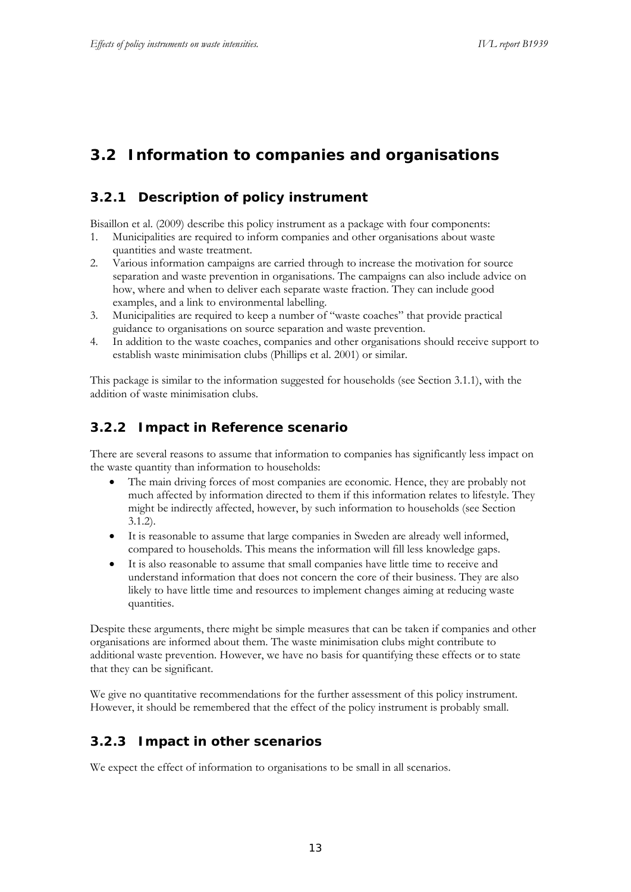# **3.2 Information to companies and organisations**

# **3.2.1 Description of policy instrument**

Bisaillon et al. (2009) describe this policy instrument as a package with four components:

- 1. Municipalities are required to inform companies and other organisations about waste quantities and waste treatment.
- 2. Various information campaigns are carried through to increase the motivation for source separation and waste prevention in organisations. The campaigns can also include advice on how, where and when to deliver each separate waste fraction. They can include good examples, and a link to environmental labelling.
- 3. Municipalities are required to keep a number of "waste coaches" that provide practical guidance to organisations on source separation and waste prevention.
- 4. In addition to the waste coaches, companies and other organisations should receive support to establish waste minimisation clubs (Phillips et al. 2001) or similar.

This package is similar to the information suggested for households (see Section 3.1.1), with the addition of waste minimisation clubs.

# **3.2.2 Impact in Reference scenario**

There are several reasons to assume that information to companies has significantly less impact on the waste quantity than information to households:

- The main driving forces of most companies are economic. Hence, they are probably not much affected by information directed to them if this information relates to lifestyle. They might be indirectly affected, however, by such information to households (see Section 3.1.2).
- It is reasonable to assume that large companies in Sweden are already well informed, compared to households. This means the information will fill less knowledge gaps.
- It is also reasonable to assume that small companies have little time to receive and understand information that does not concern the core of their business. They are also likely to have little time and resources to implement changes aiming at reducing waste quantities.

Despite these arguments, there might be simple measures that can be taken if companies and other organisations are informed about them. The waste minimisation clubs might contribute to additional waste prevention. However, we have no basis for quantifying these effects or to state that they can be significant.

We give no quantitative recommendations for the further assessment of this policy instrument. However, it should be remembered that the effect of the policy instrument is probably small.

# **3.2.3 Impact in other scenarios**

We expect the effect of information to organisations to be small in all scenarios.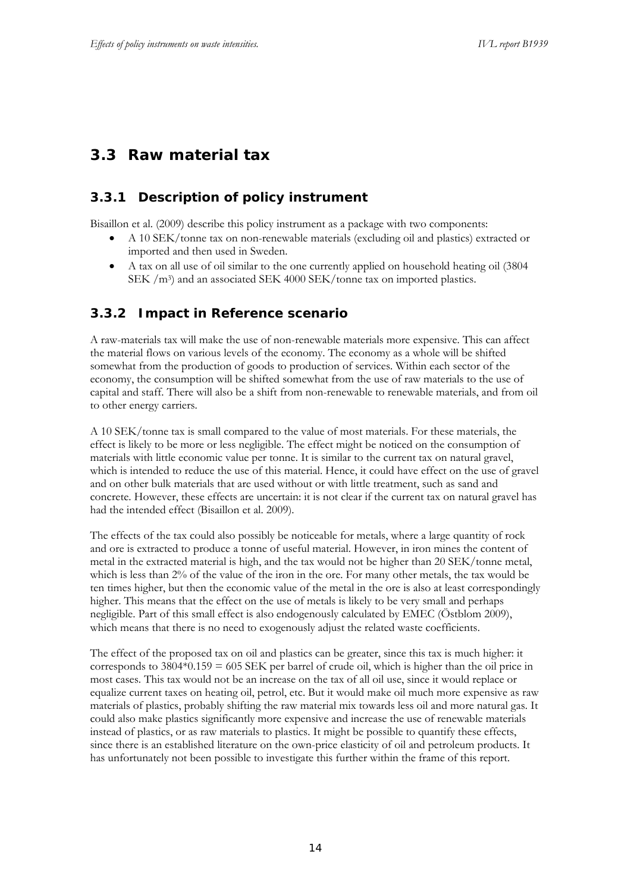# **3.3 Raw material tax**

## **3.3.1 Description of policy instrument**

Bisaillon et al. (2009) describe this policy instrument as a package with two components:

- A 10 SEK/tonne tax on non-renewable materials (excluding oil and plastics) extracted or imported and then used in Sweden.
- A tax on all use of oil similar to the one currently applied on household heating oil (3804 SEK /m<sup>3</sup>) and an associated SEK 4000 SEK/tonne tax on imported plastics.

## **3.3.2 Impact in Reference scenario**

A raw-materials tax will make the use of non-renewable materials more expensive. This can affect the material flows on various levels of the economy. The economy as a whole will be shifted somewhat from the production of goods to production of services. Within each sector of the economy, the consumption will be shifted somewhat from the use of raw materials to the use of capital and staff. There will also be a shift from non-renewable to renewable materials, and from oil to other energy carriers.

A 10 SEK/tonne tax is small compared to the value of most materials. For these materials, the effect is likely to be more or less negligible. The effect might be noticed on the consumption of materials with little economic value per tonne. It is similar to the current tax on natural gravel, which is intended to reduce the use of this material. Hence, it could have effect on the use of gravel and on other bulk materials that are used without or with little treatment, such as sand and concrete. However, these effects are uncertain: it is not clear if the current tax on natural gravel has had the intended effect (Bisaillon et al. 2009).

The effects of the tax could also possibly be noticeable for metals, where a large quantity of rock and ore is extracted to produce a tonne of useful material. However, in iron mines the content of metal in the extracted material is high, and the tax would not be higher than 20 SEK/tonne metal, which is less than 2% of the value of the iron in the ore. For many other metals, the tax would be ten times higher, but then the economic value of the metal in the ore is also at least correspondingly higher. This means that the effect on the use of metals is likely to be very small and perhaps negligible. Part of this small effect is also endogenously calculated by EMEC (Östblom 2009), which means that there is no need to exogenously adjust the related waste coefficients.

The effect of the proposed tax on oil and plastics can be greater, since this tax is much higher: it corresponds to  $3804*0.159 = 605$  SEK per barrel of crude oil, which is higher than the oil price in most cases. This tax would not be an increase on the tax of all oil use, since it would replace or equalize current taxes on heating oil, petrol, etc. But it would make oil much more expensive as raw materials of plastics, probably shifting the raw material mix towards less oil and more natural gas. It could also make plastics significantly more expensive and increase the use of renewable materials instead of plastics, or as raw materials to plastics. It might be possible to quantify these effects, since there is an established literature on the own-price elasticity of oil and petroleum products. It has unfortunately not been possible to investigate this further within the frame of this report.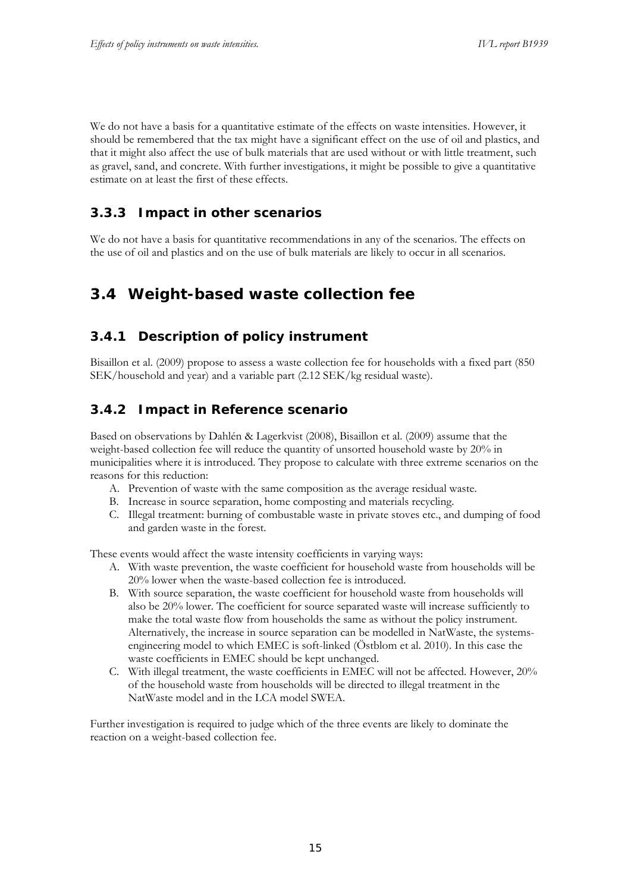We do not have a basis for a quantitative estimate of the effects on waste intensities. However, it should be remembered that the tax might have a significant effect on the use of oil and plastics, and that it might also affect the use of bulk materials that are used without or with little treatment, such as gravel, sand, and concrete. With further investigations, it might be possible to give a quantitative estimate on at least the first of these effects.

## **3.3.3 Impact in other scenarios**

We do not have a basis for quantitative recommendations in any of the scenarios. The effects on the use of oil and plastics and on the use of bulk materials are likely to occur in all scenarios.

# **3.4 Weight-based waste collection fee**

## **3.4.1 Description of policy instrument**

Bisaillon et al. (2009) propose to assess a waste collection fee for households with a fixed part (850 SEK/household and year) and a variable part (2.12 SEK/kg residual waste).

## **3.4.2 Impact in Reference scenario**

Based on observations by Dahlén & Lagerkvist (2008), Bisaillon et al. (2009) assume that the weight-based collection fee will reduce the quantity of unsorted household waste by 20% in municipalities where it is introduced. They propose to calculate with three extreme scenarios on the reasons for this reduction:

- A. Prevention of waste with the same composition as the average residual waste.
- B. Increase in source separation, home composting and materials recycling.
- C. Illegal treatment: burning of combustable waste in private stoves etc., and dumping of food and garden waste in the forest.

These events would affect the waste intensity coefficients in varying ways:

- A. With waste prevention, the waste coefficient for household waste from households will be 20% lower when the waste-based collection fee is introduced.
- B. With source separation, the waste coefficient for household waste from households will also be 20% lower. The coefficient for source separated waste will increase sufficiently to make the total waste flow from households the same as without the policy instrument. Alternatively, the increase in source separation can be modelled in NatWaste, the systemsengineering model to which EMEC is soft-linked (Östblom et al. 2010). In this case the waste coefficients in EMEC should be kept unchanged.
- C. With illegal treatment, the waste coefficients in EMEC will not be affected. However, 20% of the household waste from households will be directed to illegal treatment in the NatWaste model and in the LCA model SWEA.

Further investigation is required to judge which of the three events are likely to dominate the reaction on a weight-based collection fee.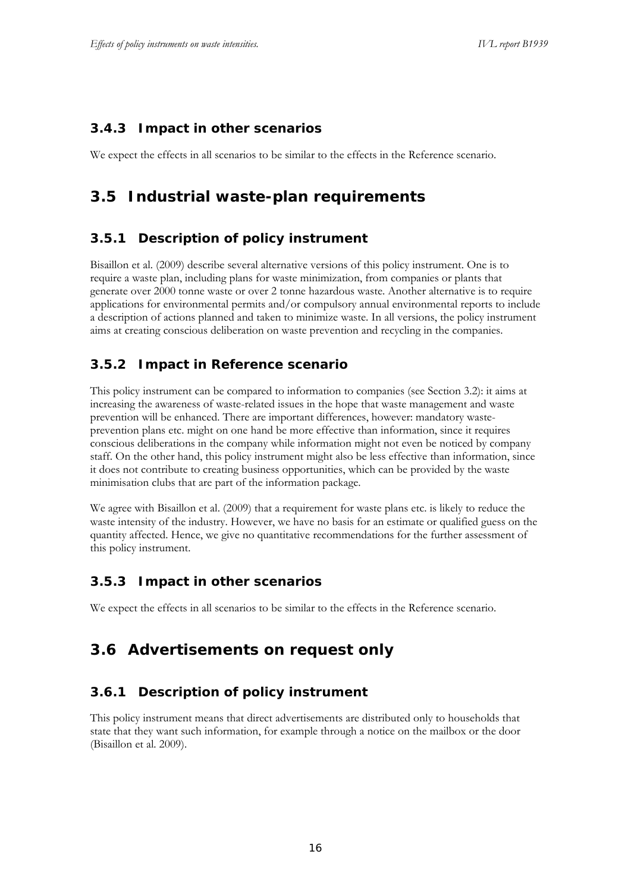## **3.4.3 Impact in other scenarios**

We expect the effects in all scenarios to be similar to the effects in the Reference scenario.

# **3.5 Industrial waste-plan requirements**

# **3.5.1 Description of policy instrument**

Bisaillon et al. (2009) describe several alternative versions of this policy instrument. One is to require a waste plan, including plans for waste minimization, from companies or plants that generate over 2000 tonne waste or over 2 tonne hazardous waste. Another alternative is to require applications for environmental permits and/or compulsory annual environmental reports to include a description of actions planned and taken to minimize waste. In all versions, the policy instrument aims at creating conscious deliberation on waste prevention and recycling in the companies.

# **3.5.2 Impact in Reference scenario**

This policy instrument can be compared to information to companies (see Section 3.2): it aims at increasing the awareness of waste-related issues in the hope that waste management and waste prevention will be enhanced. There are important differences, however: mandatory wasteprevention plans etc. might on one hand be more effective than information, since it requires conscious deliberations in the company while information might not even be noticed by company staff. On the other hand, this policy instrument might also be less effective than information, since it does not contribute to creating business opportunities, which can be provided by the waste minimisation clubs that are part of the information package.

We agree with Bisaillon et al. (2009) that a requirement for waste plans etc. is likely to reduce the waste intensity of the industry. However, we have no basis for an estimate or qualified guess on the quantity affected. Hence, we give no quantitative recommendations for the further assessment of this policy instrument.

## **3.5.3 Impact in other scenarios**

We expect the effects in all scenarios to be similar to the effects in the Reference scenario.

# **3.6 Advertisements on request only**

# **3.6.1 Description of policy instrument**

This policy instrument means that direct advertisements are distributed only to households that state that they want such information, for example through a notice on the mailbox or the door (Bisaillon et al. 2009).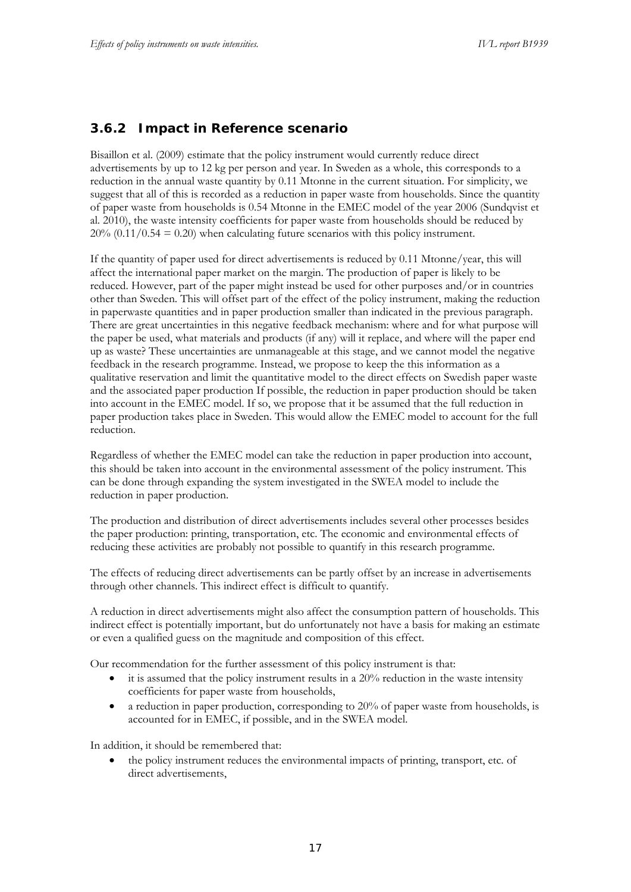## **3.6.2 Impact in Reference scenario**

Bisaillon et al. (2009) estimate that the policy instrument would currently reduce direct advertisements by up to 12 kg per person and year. In Sweden as a whole, this corresponds to a reduction in the annual waste quantity by 0.11 Mtonne in the current situation. For simplicity, we suggest that all of this is recorded as a reduction in paper waste from households. Since the quantity of paper waste from households is 0.54 Mtonne in the EMEC model of the year 2006 (Sundqvist et al. 2010), the waste intensity coefficients for paper waste from households should be reduced by  $20\%$  (0.11/0.54 = 0.20) when calculating future scenarios with this policy instrument.

If the quantity of paper used for direct advertisements is reduced by 0.11 Mtonne/year, this will affect the international paper market on the margin. The production of paper is likely to be reduced. However, part of the paper might instead be used for other purposes and/or in countries other than Sweden. This will offset part of the effect of the policy instrument, making the reduction in paperwaste quantities and in paper production smaller than indicated in the previous paragraph. There are great uncertainties in this negative feedback mechanism: where and for what purpose will the paper be used, what materials and products (if any) will it replace, and where will the paper end up as waste? These uncertainties are unmanageable at this stage, and we cannot model the negative feedback in the research programme. Instead, we propose to keep the this information as a qualitative reservation and limit the quantitative model to the direct effects on Swedish paper waste and the associated paper production If possible, the reduction in paper production should be taken into account in the EMEC model. If so, we propose that it be assumed that the full reduction in paper production takes place in Sweden. This would allow the EMEC model to account for the full reduction.

Regardless of whether the EMEC model can take the reduction in paper production into account, this should be taken into account in the environmental assessment of the policy instrument. This can be done through expanding the system investigated in the SWEA model to include the reduction in paper production.

The production and distribution of direct advertisements includes several other processes besides the paper production: printing, transportation, etc. The economic and environmental effects of reducing these activities are probably not possible to quantify in this research programme.

The effects of reducing direct advertisements can be partly offset by an increase in advertisements through other channels. This indirect effect is difficult to quantify.

A reduction in direct advertisements might also affect the consumption pattern of households. This indirect effect is potentially important, but do unfortunately not have a basis for making an estimate or even a qualified guess on the magnitude and composition of this effect.

Our recommendation for the further assessment of this policy instrument is that:

- it is assumed that the policy instrument results in a 20% reduction in the waste intensity coefficients for paper waste from households,
- a reduction in paper production, corresponding to 20% of paper waste from households, is accounted for in EMEC, if possible, and in the SWEA model.

In addition, it should be remembered that:

 the policy instrument reduces the environmental impacts of printing, transport, etc. of direct advertisements,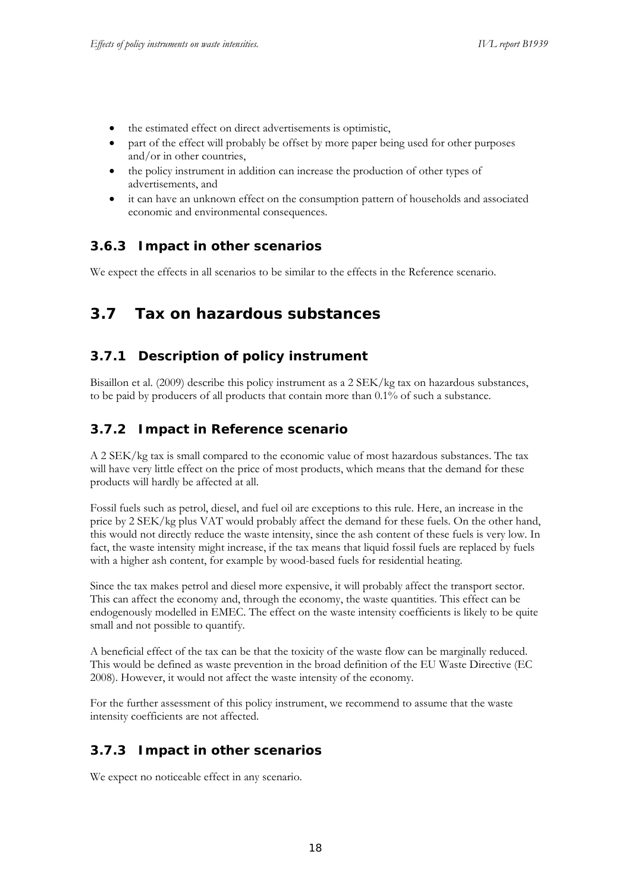- the estimated effect on direct advertisements is optimistic,
- part of the effect will probably be offset by more paper being used for other purposes and/or in other countries,
- the policy instrument in addition can increase the production of other types of advertisements, and
- it can have an unknown effect on the consumption pattern of households and associated economic and environmental consequences.

# **3.6.3 Impact in other scenarios**

We expect the effects in all scenarios to be similar to the effects in the Reference scenario.

# **3.7 Tax on hazardous substances**

# **3.7.1 Description of policy instrument**

Bisaillon et al. (2009) describe this policy instrument as a 2 SEK/kg tax on hazardous substances, to be paid by producers of all products that contain more than 0.1% of such a substance.

# **3.7.2 Impact in Reference scenario**

A 2 SEK/kg tax is small compared to the economic value of most hazardous substances. The tax will have very little effect on the price of most products, which means that the demand for these products will hardly be affected at all.

Fossil fuels such as petrol, diesel, and fuel oil are exceptions to this rule. Here, an increase in the price by 2 SEK/kg plus VAT would probably affect the demand for these fuels. On the other hand, this would not directly reduce the waste intensity, since the ash content of these fuels is very low. In fact, the waste intensity might increase, if the tax means that liquid fossil fuels are replaced by fuels with a higher ash content, for example by wood-based fuels for residential heating.

Since the tax makes petrol and diesel more expensive, it will probably affect the transport sector. This can affect the economy and, through the economy, the waste quantities. This effect can be endogenously modelled in EMEC. The effect on the waste intensity coefficients is likely to be quite small and not possible to quantify.

A beneficial effect of the tax can be that the toxicity of the waste flow can be marginally reduced. This would be defined as waste prevention in the broad definition of the EU Waste Directive (EC 2008). However, it would not affect the waste intensity of the economy.

For the further assessment of this policy instrument, we recommend to assume that the waste intensity coefficients are not affected.

# **3.7.3 Impact in other scenarios**

We expect no noticeable effect in any scenario.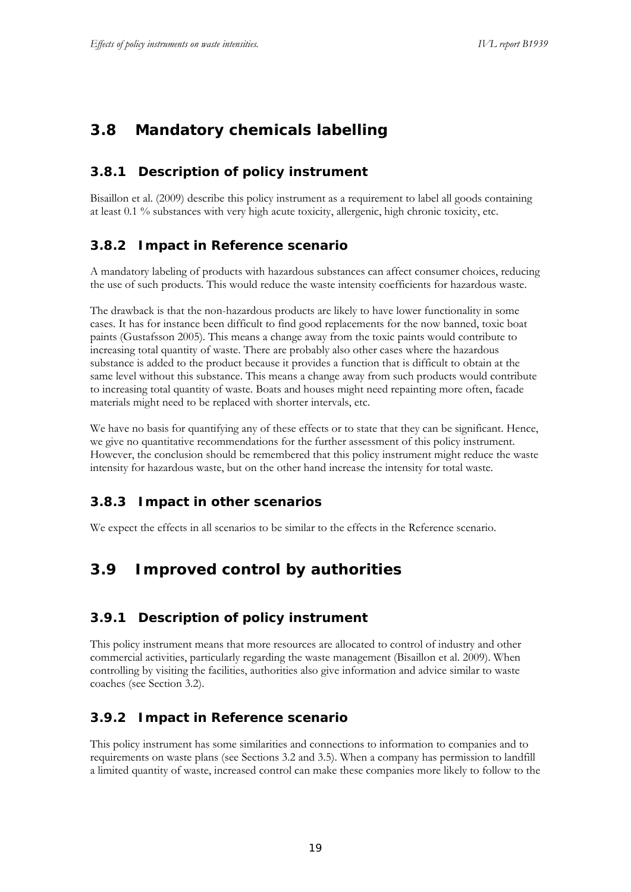# **3.8 Mandatory chemicals labelling**

# **3.8.1 Description of policy instrument**

Bisaillon et al. (2009) describe this policy instrument as a requirement to label all goods containing at least 0.1 % substances with very high acute toxicity, allergenic, high chronic toxicity, etc.

## **3.8.2 Impact in Reference scenario**

A mandatory labeling of products with hazardous substances can affect consumer choices, reducing the use of such products. This would reduce the waste intensity coefficients for hazardous waste.

The drawback is that the non-hazardous products are likely to have lower functionality in some cases. It has for instance been difficult to find good replacements for the now banned, toxic boat paints (Gustafsson 2005). This means a change away from the toxic paints would contribute to increasing total quantity of waste. There are probably also other cases where the hazardous substance is added to the product because it provides a function that is difficult to obtain at the same level without this substance. This means a change away from such products would contribute to increasing total quantity of waste. Boats and houses might need repainting more often, facade materials might need to be replaced with shorter intervals, etc.

We have no basis for quantifying any of these effects or to state that they can be significant. Hence, we give no quantitative recommendations for the further assessment of this policy instrument. However, the conclusion should be remembered that this policy instrument might reduce the waste intensity for hazardous waste, but on the other hand increase the intensity for total waste.

# **3.8.3 Impact in other scenarios**

We expect the effects in all scenarios to be similar to the effects in the Reference scenario.

# **3.9 Improved control by authorities**

# **3.9.1 Description of policy instrument**

This policy instrument means that more resources are allocated to control of industry and other commercial activities, particularly regarding the waste management (Bisaillon et al. 2009). When controlling by visiting the facilities, authorities also give information and advice similar to waste coaches (see Section 3.2).

# **3.9.2 Impact in Reference scenario**

This policy instrument has some similarities and connections to information to companies and to requirements on waste plans (see Sections 3.2 and 3.5). When a company has permission to landfill a limited quantity of waste, increased control can make these companies more likely to follow to the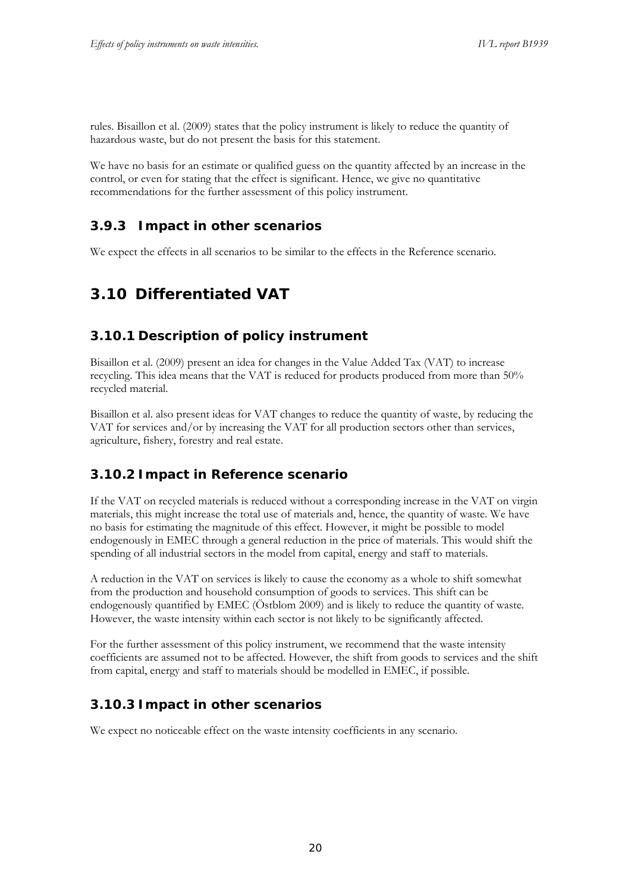rules. Bisaillon et al. (2009) states that the policy instrument is likely to reduce the quantity of hazardous waste, but do not present the basis for this statement.

We have no basis for an estimate or qualified guess on the quantity affected by an increase in the control, or even for stating that the effect is significant. Hence, we give no quantitative recommendations for the further assessment of this policy instrument.

# **3.9.3 Impact in other scenarios**

We expect the effects in all scenarios to be similar to the effects in the Reference scenario.

# **3.10 Differentiated VAT**

## **3.10.1 Description of policy instrument**

Bisaillon et al. (2009) present an idea for changes in the Value Added Tax (VAT) to increase recycling. This idea means that the VAT is reduced for products produced from more than 50% recycled material.

Bisaillon et al. also present ideas for VAT changes to reduce the quantity of waste, by reducing the VAT for services and/or by increasing the VAT for all production sectors other than services, agriculture, fishery, forestry and real estate.

# **3.10.2 Impact in Reference scenario**

If the VAT on recycled materials is reduced without a corresponding increase in the VAT on virgin materials, this might increase the total use of materials and, hence, the quantity of waste. We have no basis for estimating the magnitude of this effect. However, it might be possible to model endogenously in EMEC through a general reduction in the price of materials. This would shift the spending of all industrial sectors in the model from capital, energy and staff to materials.

A reduction in the VAT on services is likely to cause the economy as a whole to shift somewhat from the production and household consumption of goods to services. This shift can be endogenously quantified by EMEC (Östblom 2009) and is likely to reduce the quantity of waste. However, the waste intensity within each sector is not likely to be significantly affected.

For the further assessment of this policy instrument, we recommend that the waste intensity coefficients are assumed not to be affected. However, the shift from goods to services and the shift from capital, energy and staff to materials should be modelled in EMEC, if possible.

# **3.10.3 Impact in other scenarios**

We expect no noticeable effect on the waste intensity coefficients in any scenario.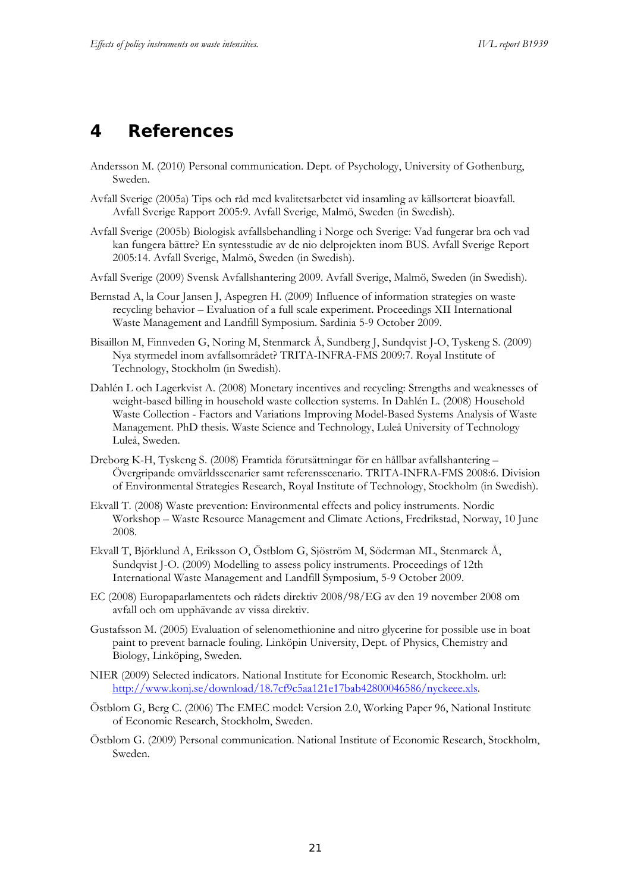# **4 References**

- Andersson M. (2010) Personal communication. Dept. of Psychology, University of Gothenburg, Sweden.
- Avfall Sverige (2005a) Tips och råd med kvalitetsarbetet vid insamling av källsorterat bioavfall. Avfall Sverige Rapport 2005:9. Avfall Sverige, Malmö, Sweden (in Swedish).
- Avfall Sverige (2005b) Biologisk avfallsbehandling i Norge och Sverige: Vad fungerar bra och vad kan fungera bättre? En syntesstudie av de nio delprojekten inom BUS. Avfall Sverige Report 2005:14. Avfall Sverige, Malmö, Sweden (in Swedish).
- Avfall Sverige (2009) Svensk Avfallshantering 2009. Avfall Sverige, Malmö, Sweden (in Swedish).
- Bernstad A, la Cour Jansen J, Aspegren H. (2009) Influence of information strategies on waste recycling behavior – Evaluation of a full scale experiment. Proceedings XII International Waste Management and Landfill Symposium. Sardinia 5-9 October 2009.
- Bisaillon M, Finnveden G, Noring M, Stenmarck Å, Sundberg J, Sundqvist J-O, Tyskeng S. (2009) Nya styrmedel inom avfallsområdet? TRITA-INFRA-FMS 2009:7. Royal Institute of Technology, Stockholm (in Swedish).
- Dahlén L och Lagerkvist A. (2008) Monetary incentives and recycling: Strengths and weaknesses of weight-based billing in household waste collection systems. In Dahlén L. (2008) Household Waste Collection - Factors and Variations Improving Model-Based Systems Analysis of Waste Management. PhD thesis. Waste Science and Technology, Luleå University of Technology Luleå, Sweden.
- Dreborg K-H, Tyskeng S. (2008) Framtida förutsättningar för en hållbar avfallshantering Övergripande omvärldsscenarier samt referensscenario. TRITA-INFRA-FMS 2008:6. Division of Environmental Strategies Research, Royal Institute of Technology, Stockholm (in Swedish).
- Ekvall T. (2008) Waste prevention: Environmental effects and policy instruments. Nordic Workshop – Waste Resource Management and Climate Actions, Fredrikstad, Norway, 10 June 2008.
- Ekvall T, Björklund A, Eriksson O, Östblom G, Sjöström M, Söderman ML, Stenmarck Å, Sundqvist J-O. (2009) Modelling to assess policy instruments. Proceedings of 12th International Waste Management and Landfill Symposium, 5-9 October 2009.
- EC (2008) Europaparlamentets och rådets direktiv 2008/98/EG av den 19 november 2008 om avfall och om upphävande av vissa direktiv.
- Gustafsson M. (2005) Evaluation of selenomethionine and nitro glycerine for possible use in boat paint to prevent barnacle fouling. Linköpin University, Dept. of Physics, Chemistry and Biology, Linköping, Sweden.
- NIER (2009) Selected indicators. National Institute for Economic Research, Stockholm. url: http://www.konj.se/download/18.7cf9c5aa121e17bab42800046586/nyckeee.xls.
- Östblom G, Berg C. (2006) The EMEC model: Version 2.0, Working Paper 96, National Institute of Economic Research, Stockholm, Sweden.
- Östblom G. (2009) Personal communication. National Institute of Economic Research, Stockholm, Sweden.